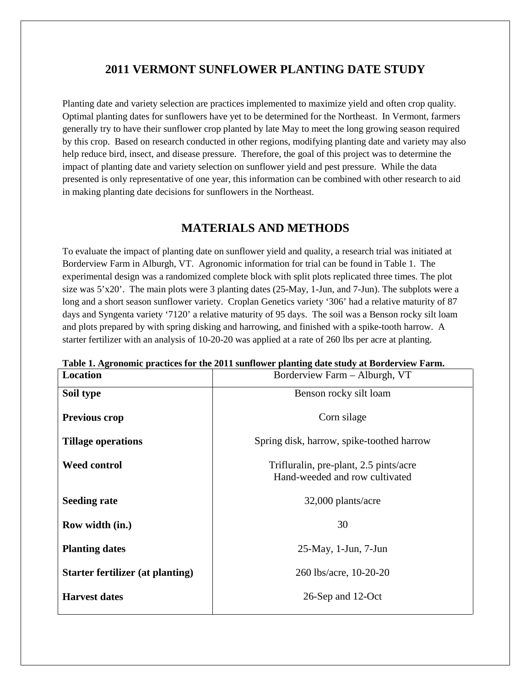# **2011 VERMONT SUNFLOWER PLANTING DATE STUDY**

Planting date and variety selection are practices implemented to maximize yield and often crop quality. Optimal planting dates for sunflowers have yet to be determined for the Northeast. In Vermont, farmers generally try to have their sunflower crop planted by late May to meet the long growing season required by this crop. Based on research conducted in other regions, modifying planting date and variety may also help reduce bird, insect, and disease pressure. Therefore, the goal of this project was to determine the impact of planting date and variety selection on sunflower yield and pest pressure. While the data presented is only representative of one year, this information can be combined with other research to aid in making planting date decisions for sunflowers in the Northeast.

# **MATERIALS AND METHODS**

To evaluate the impact of planting date on sunflower yield and quality, a research trial was initiated at Borderview Farm in Alburgh, VT. Agronomic information for trial can be found in Table 1. The experimental design was a randomized complete block with split plots replicated three times. The plot size was 5'x20'. The main plots were 3 planting dates (25-May, 1-Jun, and 7-Jun). The subplots were a long and a short season sunflower variety. Croplan Genetics variety '306' had a relative maturity of 87 days and Syngenta variety '7120' a relative maturity of 95 days. The soil was a Benson rocky silt loam and plots prepared by with spring disking and harrowing, and finished with a spike-tooth harrow. A starter fertilizer with an analysis of 10-20-20 was applied at a rate of 260 lbs per acre at planting.

| <b>Location</b>                         | Borderview Farm - Alburgh, VT                                            |
|-----------------------------------------|--------------------------------------------------------------------------|
| Soil type                               | Benson rocky silt loam                                                   |
| <b>Previous crop</b>                    | Corn silage                                                              |
| <b>Tillage operations</b>               | Spring disk, harrow, spike-toothed harrow                                |
| <b>Weed control</b>                     | Trifluralin, pre-plant, 2.5 pints/acre<br>Hand-weeded and row cultivated |
| <b>Seeding rate</b>                     | 32,000 plants/acre                                                       |
| Row width (in.)                         | 30                                                                       |
| <b>Planting dates</b>                   | $25$ -May, 1-Jun, 7-Jun                                                  |
| <b>Starter fertilizer (at planting)</b> | 260 lbs/acre, 10-20-20                                                   |
| <b>Harvest dates</b>                    | 26-Sep and 12-Oct                                                        |

**Table 1. Agronomic practices for the 2011 sunflower planting date study at Borderview Farm.**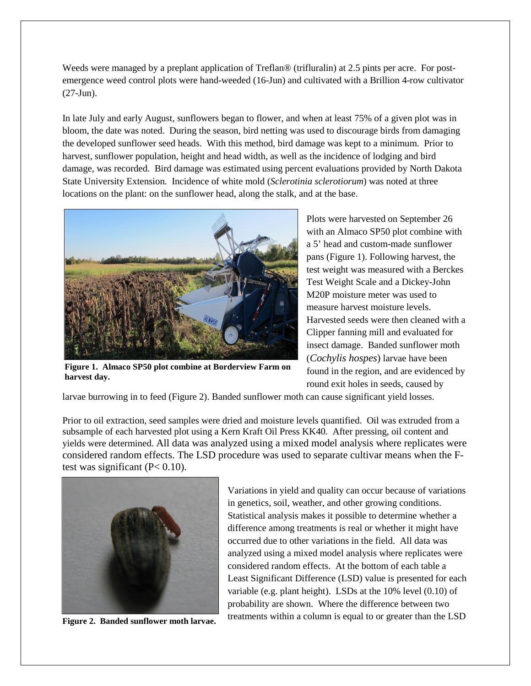Weeds were managed by a preplant application of Treflan® (trifluralin) at 2.5 pints per acre. For postemergence weed control plots were hand-weeded (16-Jun) and cultivated with a Brillion 4-row cultivator (27-Jun).

In late July and early August, sunflowers began to flower, and when at least 75% of a given plot was in bloom, the date was noted. During the season, bird netting was used to discourage birds from damaging the developed sunflower seed heads. With this method, bird damage was kept to a minimum. Prior to harvest, sunflower population, height and head width, as well as the incidence of lodging and bird damage, was recorded. Bird damage was estimated using percent evaluations provided by North Dakota State University Extension. Incidence of white mold (*Sclerotinia sclerotiorum*) was noted at three locations on the plant: on the sunflower head, along the stalk, and at the base.



**Figure 1. Almaco SP50 plot combine at Borderview Farm on harvest day.**

Plots were harvested on September 26 with an Almaco SP50 plot combine with a 5' head and custom-made sunflower pans (Figure 1). Following harvest, the test weight was measured with a Berckes Test Weight Scale and a Dickey-John M20P moisture meter was used to measure harvest moisture levels. Harvested seeds were then cleaned with a Clipper fanning mill and evaluated for insect damage. Banded sunflower moth (*Cochylis hospes*) larvae have been found in the region, and are evidenced by round exit holes in seeds, caused by

larvae burrowing in to feed (Figure 2). Banded sunflower moth can cause significant yield losses.

Prior to oil extraction, seed samples were dried and moisture levels quantified. Oil was extruded from a subsample of each harvested plot using a Kern Kraft Oil Press KK40. After pressing, oil content and yields were determined. All data was analyzed using a mixed model analysis where replicates were considered random effects. The LSD procedure was used to separate cultivar means when the Ftest was significant  $(P< 0.10)$ .



**Figure 2. Banded sunflower moth larvae.**

Variations in yield and quality can occur because of variations in genetics, soil, weather, and other growing conditions. Statistical analysis makes it possible to determine whether a difference among treatments is real or whether it might have occurred due to other variations in the field. All data was analyzed using a mixed model analysis where replicates were considered random effects. At the bottom of each table a Least Significant Difference (LSD) value is presented for each variable (e.g. plant height). LSDs at the 10% level (0.10) of probability are shown. Where the difference between two treatments within a column is equal to or greater than the LSD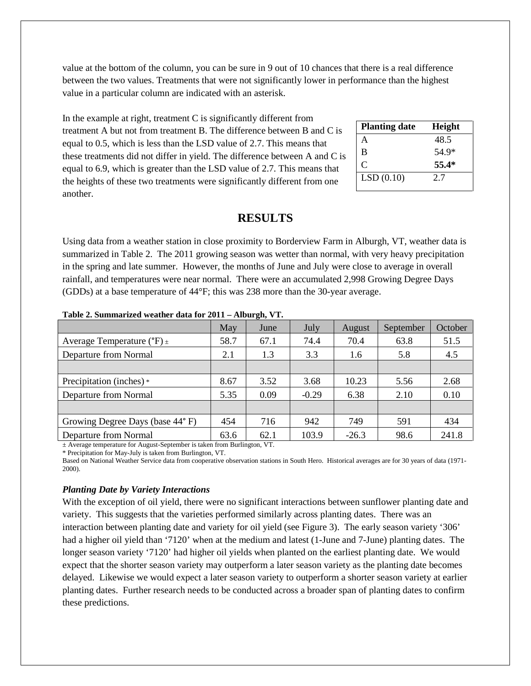value at the bottom of the column, you can be sure in 9 out of 10 chances that there is a real difference between the two values. Treatments that were not significantly lower in performance than the highest value in a particular column are indicated with an asterisk.

In the example at right, treatment C is significantly different from treatment A but not from treatment B. The difference between B and C is equal to 0.5, which is less than the LSD value of 2.7. This means that these treatments did not differ in yield. The difference between A and C is equal to 6.9, which is greater than the LSD value of 2.7. This means that the heights of these two treatments were significantly different from one another.

| <b>Planting date</b> | Height |
|----------------------|--------|
| A                    | 48.5   |
| B                    | 54.9*  |
| C                    | 55.4*  |
| LSD(0.10)            | 2.7    |

# **RESULTS**

Using data from a weather station in close proximity to Borderview Farm in Alburgh, VT, weather data is summarized in Table 2. The 2011 growing season was wetter than normal, with very heavy precipitation in the spring and late summer. However, the months of June and July were close to average in overall rainfall, and temperatures were near normal. There were an accumulated 2,998 Growing Degree Days (GDDs) at a base temperature of 44°F; this was 238 more than the 30-year average.

|                                                | May  | June | July    | August  | September | October |  |  |  |
|------------------------------------------------|------|------|---------|---------|-----------|---------|--|--|--|
| Average Temperature ( ${}^{\circ}$ F) $_{\pm}$ | 58.7 | 67.1 | 74.4    | 70.4    | 63.8      | 51.5    |  |  |  |
| Departure from Normal                          | 2.1  | 1.3  | 3.3     | 1.6     | 5.8       | 4.5     |  |  |  |
|                                                |      |      |         |         |           |         |  |  |  |
| Precipitation (inches) *                       | 8.67 | 3.52 | 3.68    | 10.23   | 5.56      | 2.68    |  |  |  |
| Departure from Normal                          | 5.35 | 0.09 | $-0.29$ | 6.38    | 2.10      | 0.10    |  |  |  |
|                                                |      |      |         |         |           |         |  |  |  |
| Growing Degree Days (base 44°F)                | 454  | 716  | 942     | 749     | 591       | 434     |  |  |  |
| Departure from Normal                          | 63.6 | 62.1 | 103.9   | $-26.3$ | 98.6      | 241.8   |  |  |  |

**Table 2. Summarized weather data for 2011 – Alburgh, VT.**

± Average temperature for August-September is taken from Burlington, VT.

\* Precipitation for May-July is taken from Burlington, VT.

Based on National Weather Service data from cooperative observation stations in South Hero. Historical averages are for 30 years of data (1971- 2000).

### *Planting Date by Variety Interactions*

With the exception of oil yield, there were no significant interactions between sunflower planting date and variety. This suggests that the varieties performed similarly across planting dates. There was an interaction between planting date and variety for oil yield (see Figure 3). The early season variety '306' had a higher oil yield than '7120' when at the medium and latest (1-June and 7-June) planting dates. The longer season variety '7120' had higher oil yields when planted on the earliest planting date. We would expect that the shorter season variety may outperform a later season variety as the planting date becomes delayed. Likewise we would expect a later season variety to outperform a shorter season variety at earlier planting dates. Further research needs to be conducted across a broader span of planting dates to confirm these predictions.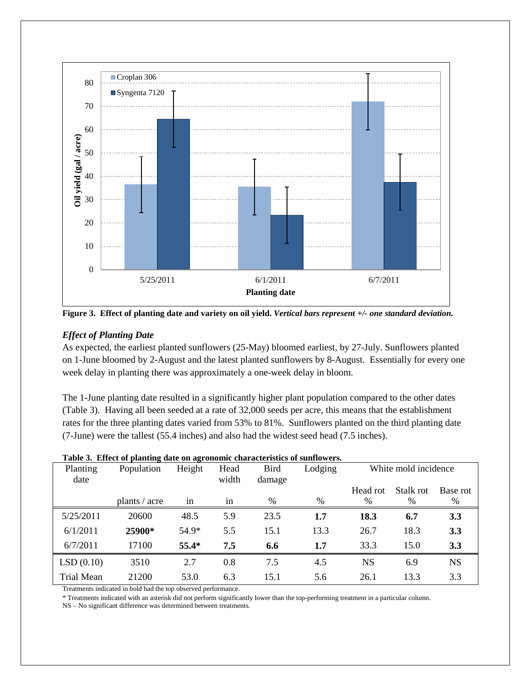

**Figure 3. Effect of planting date and variety on oil yield.** *Vertical bars represent +/- one standard deviation.*

## *Effect of Planting Date*

As expected, the earliest planted sunflowers (25-May) bloomed earliest, by 27-July. Sunflowers planted on 1-June bloomed by 2-August and the latest planted sunflowers by 8-August. Essentially for every one week delay in planting there was approximately a one-week delay in bloom.

The 1-June planting date resulted in a significantly higher plant population compared to the other dates (Table 3). Having all been seeded at a rate of 32,000 seeds per acre, this means that the establishment rates for the three planting dates varied from 53% to 81%. Sunflowers planted on the third planting date (7-June) were the tallest (55.4 inches) and also had the widest seed head (7.5 inches).

| Planting<br>date  | Population    | Height  | Head<br>width | Bird<br>damage | Lodging | White mold incidence |           |            |
|-------------------|---------------|---------|---------------|----------------|---------|----------------------|-----------|------------|
|                   |               |         |               |                |         | Head rot             | Stalk rot | Base rot   |
|                   | plants / acre | 1n      | 1n            | %              | %       | %                    | %         | %          |
| 5/25/2011         | 20600         | 48.5    | 5.9           | 23.5           | $1.7\,$ | 18.3                 | 6.7       | 3.3        |
| 6/1/2011          | 25900*        | 54.9*   | 5.5           | 15.1           | 13.3    | 26.7                 | 18.3      | 3.3        |
| 6/7/2011          | 17100         | $55.4*$ | 7.5           | 6.6            | 1.7     | 33.3                 | 15.0      | <b>3.3</b> |
| LSD(0.10)         | 3510          | 2.7     | 0.8           | 7.5            | 4.5     | <b>NS</b>            | 6.9       | <b>NS</b>  |
| <b>Trial Mean</b> | 21200         | 53.0    | 6.3           | 15.1           | 5.6     | 26.1                 | 13.3      | 3.3        |

### **Table 3. Effect of planting date on agronomic characteristics of sunflowers.**

Treatments indicated in bold had the top observed performance.

\* Treatments indicated with an asterisk did not perform significantly lower than the top-performing treatment in a particular column.

NS – No significant difference was determined between treatments.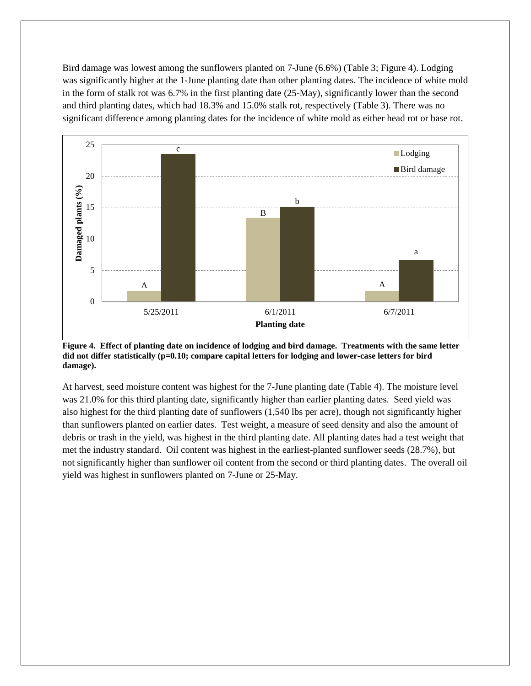Bird damage was lowest among the sunflowers planted on 7-June (6.6%) (Table 3; Figure 4). Lodging was significantly higher at the 1-June planting date than other planting dates. The incidence of white mold in the form of stalk rot was 6.7% in the first planting date (25-May), significantly lower than the second and third planting dates, which had 18.3% and 15.0% stalk rot, respectively (Table 3). There was no significant difference among planting dates for the incidence of white mold as either head rot or base rot.



**Figure 4. Effect of planting date on incidence of lodging and bird damage. Treatments with the same letter did not differ statistically (p=0.10; compare capital letters for lodging and lower-case letters for bird damage).**

At harvest, seed moisture content was highest for the 7-June planting date (Table 4). The moisture level was 21.0% for this third planting date, significantly higher than earlier planting dates. Seed yield was also highest for the third planting date of sunflowers (1,540 lbs per acre), though not significantly higher than sunflowers planted on earlier dates. Test weight, a measure of seed density and also the amount of debris or trash in the yield, was highest in the third planting date. All planting dates had a test weight that met the industry standard. Oil content was highest in the earliest-planted sunflower seeds (28.7%), but not significantly higher than sunflower oil content from the second or third planting dates. The overall oil yield was highest in sunflowers planted on 7-June or 25-May.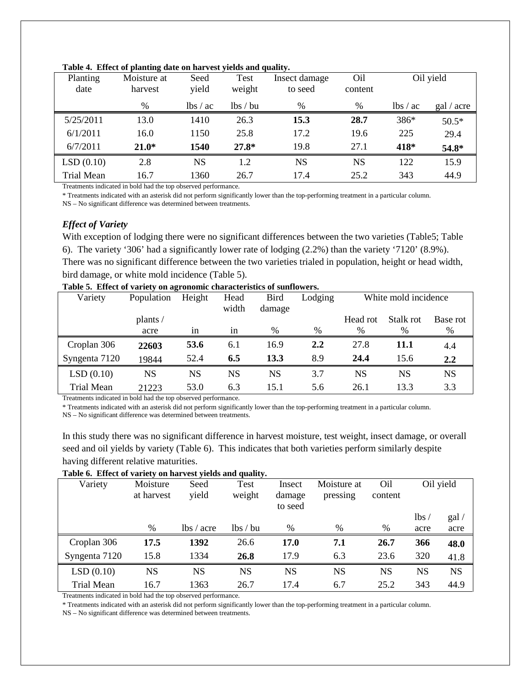| Planting<br>date  | Moisture at<br>harvest | Seed<br>yield      | Test<br>weight | Insect damage<br>to seed | Oil<br>content | Oil yield          |            |
|-------------------|------------------------|--------------------|----------------|--------------------------|----------------|--------------------|------------|
|                   | $\%$                   | $\frac{1}{s}$ / ac | lbs/bu         | %                        | %              | $\frac{1}{s}$ / ac | gal / acre |
|                   |                        |                    |                |                          |                |                    |            |
| 5/25/2011         | 13.0                   | 1410               | 26.3           | 15.3                     | 28.7           | 386*               | $50.5*$    |
| 6/1/2011          | 16.0                   | 1150               | 25.8           | 17.2                     | 19.6           | 225                | 29.4       |
| 6/7/2011          | $21.0*$                | 1540               | $27.8*$        | 19.8                     | 27.1           | 418*               | 54.8*      |
| LSD(0.10)         | 2.8                    | <b>NS</b>          | 1.2            | <b>NS</b>                | NS             | 122                | 15.9       |
| <b>Trial Mean</b> | 16.7                   | 1360               | 26.7           | 17.4                     | 25.2           | 343                | 44.9       |

#### **Table 4. Effect of planting date on harvest yields and quality.**

Treatments indicated in bold had the top observed performance.

\* Treatments indicated with an asterisk did not perform significantly lower than the top-performing treatment in a particular column.

NS – No significant difference was determined between treatments.

### *Effect of Variety*

With exception of lodging there were no significant differences between the two varieties (Table5; Table 6). The variety '306' had a significantly lower rate of lodging (2.2%) than the variety '7120' (8.9%). There was no significant difference between the two varieties trialed in population, height or head width, bird damage, or white mold incidence (Table 5).

| Variety       | Population | Height | Head<br>width | <b>Bird</b><br>damage | Lodging | White mold incidence |           |          |
|---------------|------------|--------|---------------|-----------------------|---------|----------------------|-----------|----------|
|               | plants/    |        |               |                       |         | Head rot             | Stalk rot | Base rot |
|               | acre       | 1n     | 1n            | $\%$                  | %       | %                    | $\%$      | %        |
| Croplan 306   | 22603      | 53.6   | 6.1           | 16.9                  | 2.2     | 27.8                 | 11.1      | 4.4      |
| Syngenta 7120 | 19844      | 52.4   | 6.5           | 13.3                  | 8.9     | 24.4                 | 15.6      | 2,2      |
| LSD(0.10)     | NS         | NS     | NS            | NS                    | 3.7     | NS                   | NS        | NS       |
| Trial Mean    | 21223      | 53.0   | 6.3           | 15.1                  | 5.6     | 26.1                 | 13.3      | 3.3      |

**Table 5. Effect of variety on agronomic characteristics of sunflowers.**

Treatments indicated in bold had the top observed performance.

\* Treatments indicated with an asterisk did not perform significantly lower than the top-performing treatment in a particular column.

NS – No significant difference was determined between treatments.

In this study there was no significant difference in harvest moisture, test weight, insect damage, or overall seed and oil yields by variety (Table 6). This indicates that both varieties perform similarly despite having different relative maturities.

### **Table 6. Effect of variety on harvest yields and quality.**

| Tuble of Effect of variety on harvest yields and quanty. |            |                      |           |           |             |                 |      |           |
|----------------------------------------------------------|------------|----------------------|-----------|-----------|-------------|-----------------|------|-----------|
| Variety                                                  | Moisture   | Seed                 | Test      | Insect    | Moisture at | O <sub>il</sub> |      | Oil yield |
|                                                          | at harvest | yield                | weight    | damage    | pressing    | content         |      |           |
|                                                          |            |                      |           | to seed   |             |                 |      |           |
|                                                          |            |                      |           |           |             |                 | lbs/ | gal /     |
|                                                          | %          | $\frac{1}{s}$ / acre | lbs/bu    | %         | %           | %               | acre | acre      |
| Croplan 306                                              | 17.5       | 1392                 | 26.6      | 17.0      | 7.1         | 26.7            | 366  | 48.0      |
| Syngenta 7120                                            | 15.8       | 1334                 | 26.8      | 17.9      | 6.3         | 23.6            | 320  | 41.8      |
| LSD(0.10)                                                | <b>NS</b>  | <b>NS</b>            | <b>NS</b> | <b>NS</b> | NS          | <b>NS</b>       | NS   | <b>NS</b> |
| Trial Mean                                               | 16.7       | 1363                 | 26.7      | 17.4      | 6.7         | 25.2            | 343  | 44.9      |

Treatments indicated in bold had the top observed performance.

\* Treatments indicated with an asterisk did not perform significantly lower than the top-performing treatment in a particular column.

NS – No significant difference was determined between treatments.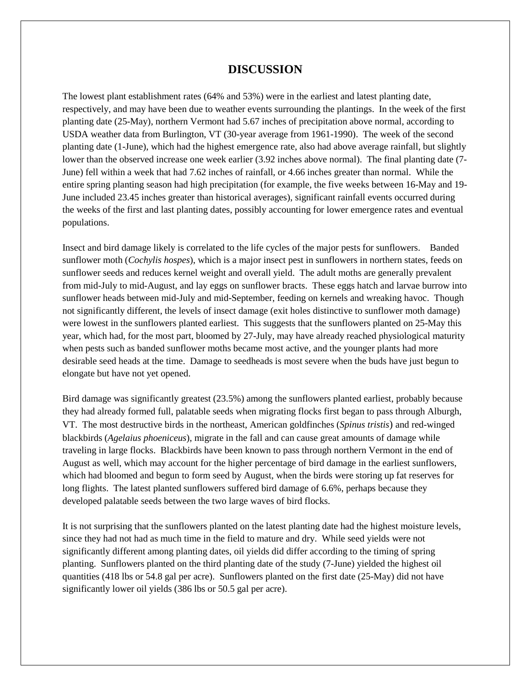## **DISCUSSION**

The lowest plant establishment rates (64% and 53%) were in the earliest and latest planting date, respectively, and may have been due to weather events surrounding the plantings. In the week of the first planting date (25-May), northern Vermont had 5.67 inches of precipitation above normal, according to USDA weather data from Burlington, VT (30-year average from 1961-1990). The week of the second planting date (1-June), which had the highest emergence rate, also had above average rainfall, but slightly lower than the observed increase one week earlier (3.92 inches above normal). The final planting date (7- June) fell within a week that had 7.62 inches of rainfall, or 4.66 inches greater than normal. While the entire spring planting season had high precipitation (for example, the five weeks between 16-May and 19- June included 23.45 inches greater than historical averages), significant rainfall events occurred during the weeks of the first and last planting dates, possibly accounting for lower emergence rates and eventual populations.

Insect and bird damage likely is correlated to the life cycles of the major pests for sunflowers. Banded sunflower moth (*Cochylis hospes*), which is a major insect pest in sunflowers in northern states, feeds on sunflower seeds and reduces kernel weight and overall yield. The adult moths are generally prevalent from mid-July to mid-August, and lay eggs on sunflower bracts. These eggs hatch and larvae burrow into sunflower heads between mid-July and mid-September, feeding on kernels and wreaking havoc. Though not significantly different, the levels of insect damage (exit holes distinctive to sunflower moth damage) were lowest in the sunflowers planted earliest. This suggests that the sunflowers planted on 25-May this year, which had, for the most part, bloomed by 27-July, may have already reached physiological maturity when pests such as banded sunflower moths became most active, and the younger plants had more desirable seed heads at the time. Damage to seedheads is most severe when the buds have just begun to elongate but have not yet opened.

Bird damage was significantly greatest (23.5%) among the sunflowers planted earliest, probably because they had already formed full, palatable seeds when migrating flocks first began to pass through Alburgh, VT. The most destructive birds in the northeast, American goldfinches (*Spinus tristis*) and red-winged blackbirds (*Agelaius phoeniceus*), migrate in the fall and can cause great amounts of damage while traveling in large flocks. Blackbirds have been known to pass through northern Vermont in the end of August as well, which may account for the higher percentage of bird damage in the earliest sunflowers, which had bloomed and begun to form seed by August, when the birds were storing up fat reserves for long flights. The latest planted sunflowers suffered bird damage of 6.6%, perhaps because they developed palatable seeds between the two large waves of bird flocks.

It is not surprising that the sunflowers planted on the latest planting date had the highest moisture levels, since they had not had as much time in the field to mature and dry. While seed yields were not significantly different among planting dates, oil yields did differ according to the timing of spring planting. Sunflowers planted on the third planting date of the study (7-June) yielded the highest oil quantities (418 lbs or 54.8 gal per acre). Sunflowers planted on the first date (25-May) did not have significantly lower oil yields (386 lbs or 50.5 gal per acre).